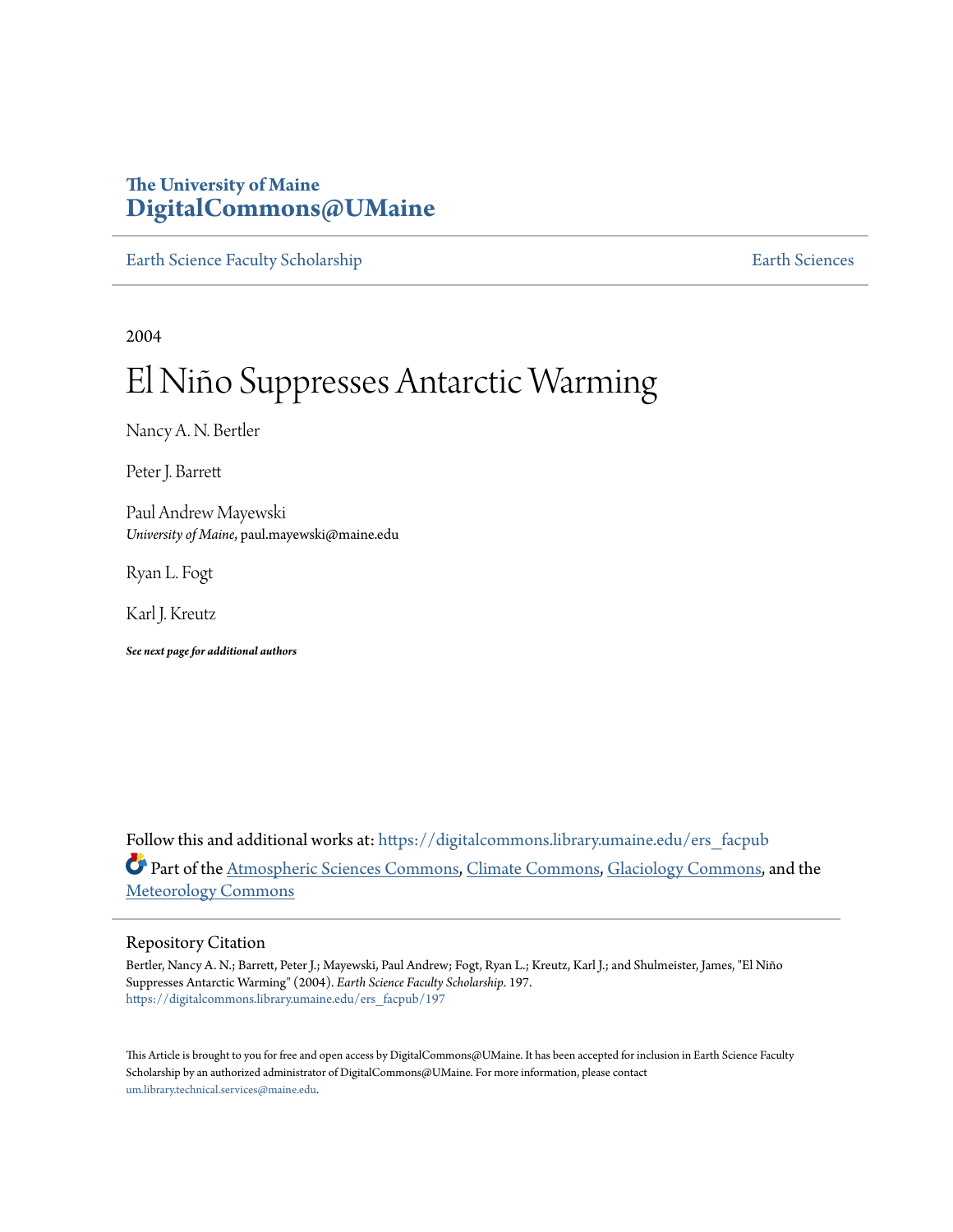## **The University of Maine [DigitalCommons@UMaine](https://digitalcommons.library.umaine.edu?utm_source=digitalcommons.library.umaine.edu%2Fers_facpub%2F197&utm_medium=PDF&utm_campaign=PDFCoverPages)**

[Earth Science Faculty Scholarship](https://digitalcommons.library.umaine.edu/ers_facpub?utm_source=digitalcommons.library.umaine.edu%2Fers_facpub%2F197&utm_medium=PDF&utm_campaign=PDFCoverPages) **[Earth Sciences](https://digitalcommons.library.umaine.edu/ers?utm_source=digitalcommons.library.umaine.edu%2Fers_facpub%2F197&utm_medium=PDF&utm_campaign=PDFCoverPages)** 

2004

# El Niño Suppresses Antarctic Warming

Nancy A. N. Bertler

Peter J. Barrett

Paul Andrew Mayewski *University of Maine*, paul.mayewski@maine.edu

Ryan L. Fogt

Karl J. Kreutz

*See next page for additional authors*

Follow this and additional works at: [https://digitalcommons.library.umaine.edu/ers\\_facpub](https://digitalcommons.library.umaine.edu/ers_facpub?utm_source=digitalcommons.library.umaine.edu%2Fers_facpub%2F197&utm_medium=PDF&utm_campaign=PDFCoverPages) Part of the [Atmospheric Sciences Commons,](http://network.bepress.com/hgg/discipline/187?utm_source=digitalcommons.library.umaine.edu%2Fers_facpub%2F197&utm_medium=PDF&utm_campaign=PDFCoverPages) [Climate Commons,](http://network.bepress.com/hgg/discipline/188?utm_source=digitalcommons.library.umaine.edu%2Fers_facpub%2F197&utm_medium=PDF&utm_campaign=PDFCoverPages) [Glaciology Commons](http://network.bepress.com/hgg/discipline/159?utm_source=digitalcommons.library.umaine.edu%2Fers_facpub%2F197&utm_medium=PDF&utm_campaign=PDFCoverPages), and the [Meteorology Commons](http://network.bepress.com/hgg/discipline/190?utm_source=digitalcommons.library.umaine.edu%2Fers_facpub%2F197&utm_medium=PDF&utm_campaign=PDFCoverPages)

#### Repository Citation

Bertler, Nancy A. N.; Barrett, Peter J.; Mayewski, Paul Andrew; Fogt, Ryan L.; Kreutz, Karl J.; and Shulmeister, James, "El Niño Suppresses Antarctic Warming" (2004). *Earth Science Faculty Scholarship*. 197. [https://digitalcommons.library.umaine.edu/ers\\_facpub/197](https://digitalcommons.library.umaine.edu/ers_facpub/197?utm_source=digitalcommons.library.umaine.edu%2Fers_facpub%2F197&utm_medium=PDF&utm_campaign=PDFCoverPages)

This Article is brought to you for free and open access by DigitalCommons@UMaine. It has been accepted for inclusion in Earth Science Faculty Scholarship by an authorized administrator of DigitalCommons@UMaine. For more information, please contact [um.library.technical.services@maine.edu](mailto:um.library.technical.services@maine.edu).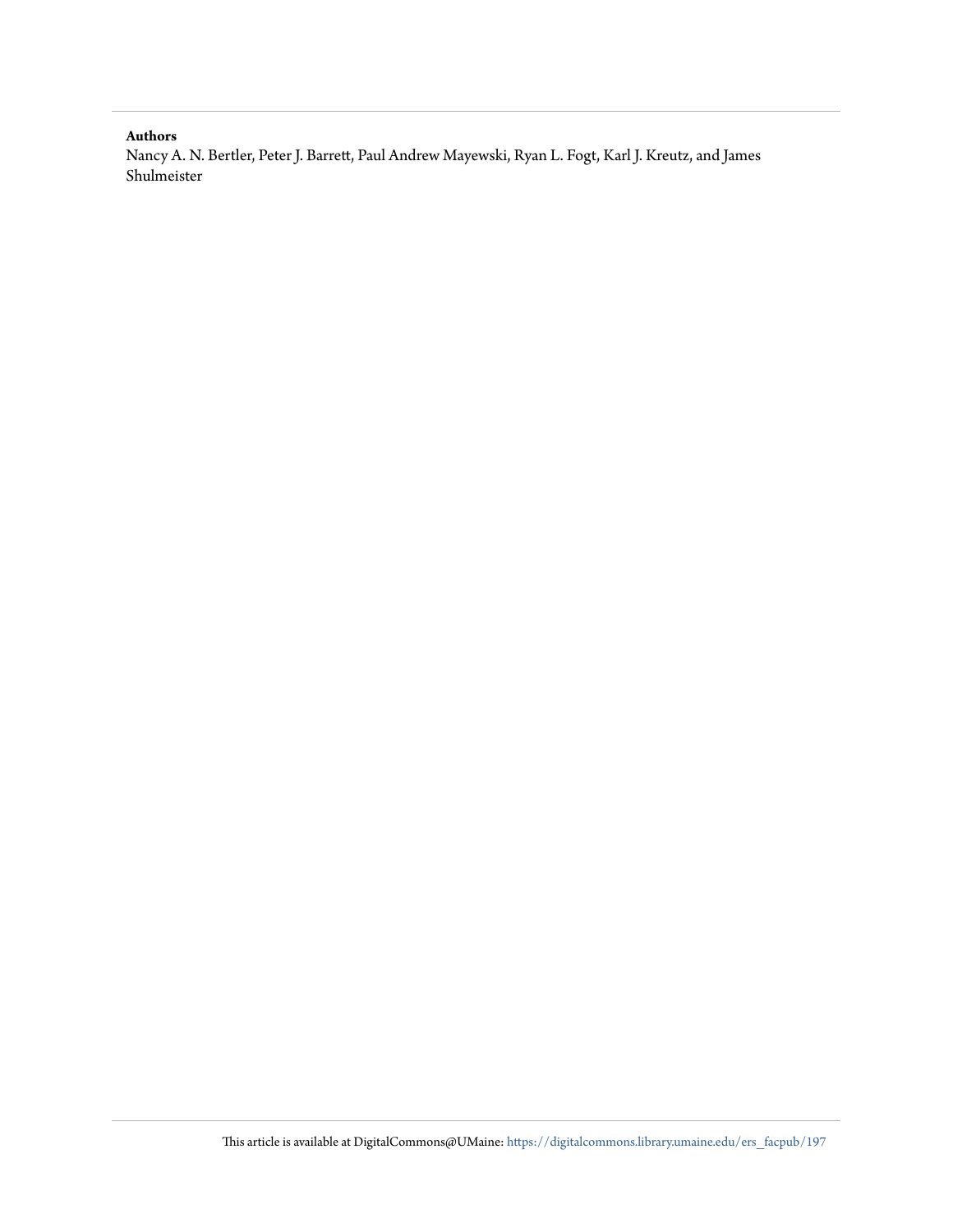#### **Authors**

Nancy A. N. Bertler, Peter J. Barrett, Paul Andrew Mayewski, Ryan L. Fogt, Karl J. Kreutz, and James Shulmeister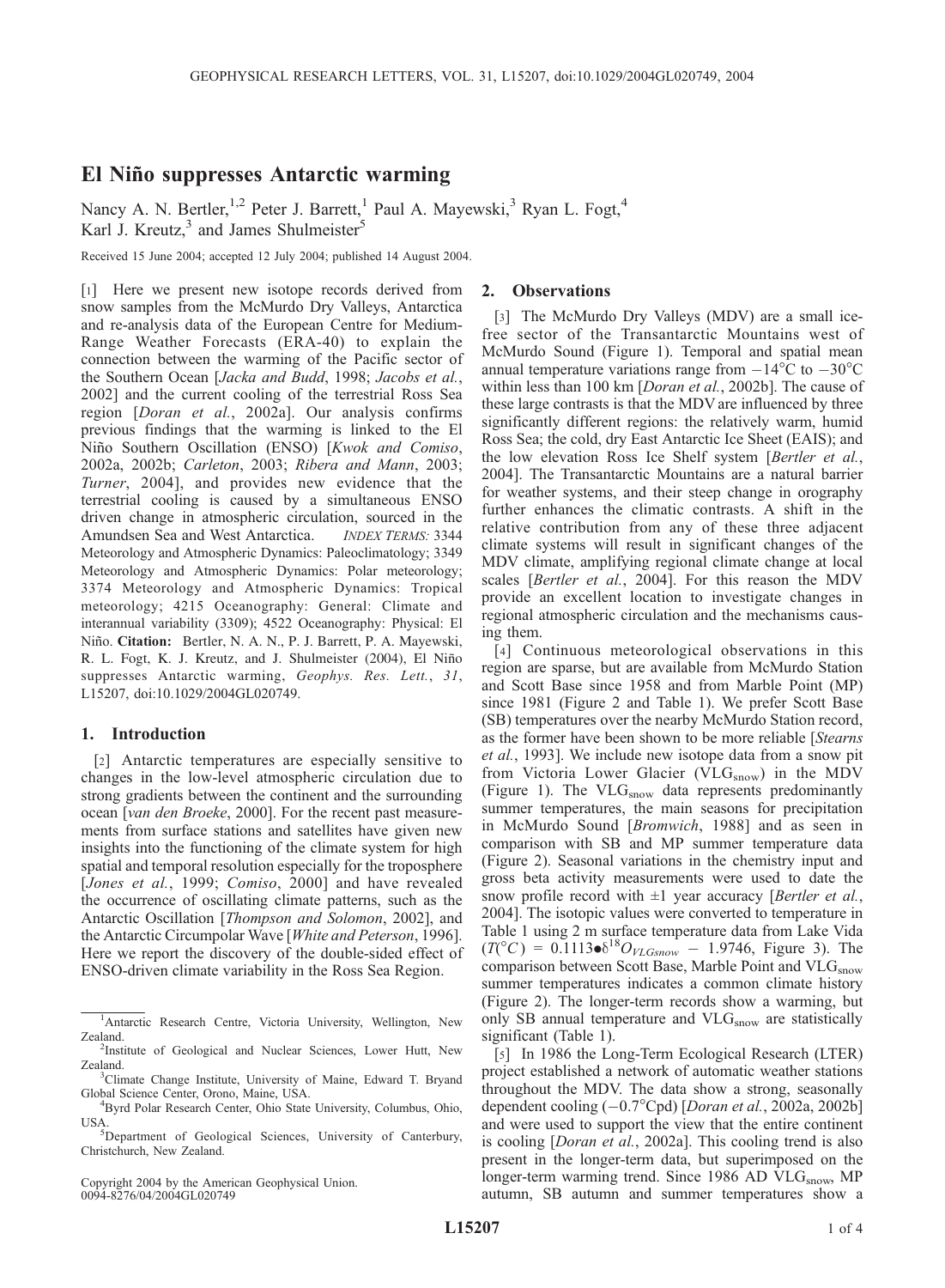### El Niño suppresses Antarctic warming

Nancy A. N. Bertler,<sup>1,2</sup> Peter J. Barrett,<sup>1</sup> Paul A. Mayewski,<sup>3</sup> Ryan L. Fogt,<sup>4</sup> Karl J. Kreutz,<sup>3</sup> and James Shulmeister<sup>5</sup>

Received 15 June 2004; accepted 12 July 2004; published 14 August 2004.

[1] Here we present new isotope records derived from snow samples from the McMurdo Dry Valleys, Antarctica and re-analysis data of the European Centre for Medium-Range Weather Forecasts (ERA-40) to explain the connection between the warming of the Pacific sector of the Southern Ocean [Jacka and Budd, 1998; Jacobs et al., 2002] and the current cooling of the terrestrial Ross Sea region [Doran et al., 2002a]. Our analysis confirms previous findings that the warming is linked to the El Niño Southern Oscillation (ENSO) [Kwok and Comiso, 2002a, 2002b; Carleton, 2003; Ribera and Mann, 2003; Turner, 2004], and provides new evidence that the terrestrial cooling is caused by a simultaneous ENSO driven change in atmospheric circulation, sourced in the Amundsen Sea and West Antarctica. INDEX TERMS: 3344 Meteorology and Atmospheric Dynamics: Paleoclimatology; 3349 Meteorology and Atmospheric Dynamics: Polar meteorology; 3374 Meteorology and Atmospheric Dynamics: Tropical meteorology; 4215 Oceanography: General: Climate and interannual variability (3309); 4522 Oceanography: Physical: El Niño. Citation: Bertler, N. A. N., P. J. Barrett, P. A. Mayewski, R. L. Fogt, K. J. Kreutz, and J. Shulmeister (2004), El Niño suppresses Antarctic warming, Geophys. Res. Lett., 31, L15207, doi:10.1029/2004GL020749.

#### 1. Introduction

[2] Antarctic temperatures are especially sensitive to changes in the low-level atmospheric circulation due to strong gradients between the continent and the surrounding ocean [van den Broeke, 2000]. For the recent past measurements from surface stations and satellites have given new insights into the functioning of the climate system for high spatial and temporal resolution especially for the troposphere [Jones et al., 1999; Comiso, 2000] and have revealed the occurrence of oscillating climate patterns, such as the Antarctic Oscillation [Thompson and Solomon, 2002], and the Antarctic Circumpolar Wave [White and Peterson, 1996]. Here we report the discovery of the double-sided effect of ENSO-driven climate variability in the Ross Sea Region.

Copyright 2004 by the American Geophysical Union. 0094-8276/04/2004GL020749

#### 2. Observations

[3] The McMurdo Dry Valleys (MDV) are a small icefree sector of the Transantarctic Mountains west of McMurdo Sound (Figure 1). Temporal and spatial mean annual temperature variations range from  $-14^{\circ}$ C to  $-30^{\circ}$ C within less than 100 km [Doran et al., 2002b]. The cause of these large contrasts is that the MDV are influenced by three significantly different regions: the relatively warm, humid Ross Sea; the cold, dry East Antarctic Ice Sheet (EAIS); and the low elevation Ross Ice Shelf system [Bertler et al., 2004]. The Transantarctic Mountains are a natural barrier for weather systems, and their steep change in orography further enhances the climatic contrasts. A shift in the relative contribution from any of these three adjacent climate systems will result in significant changes of the MDV climate, amplifying regional climate change at local scales [Bertler et al., 2004]. For this reason the MDV provide an excellent location to investigate changes in regional atmospheric circulation and the mechanisms causing them.

[4] Continuous meteorological observations in this region are sparse, but are available from McMurdo Station and Scott Base since 1958 and from Marble Point (MP) since 1981 (Figure 2 and Table 1). We prefer Scott Base (SB) temperatures over the nearby McMurdo Station record, as the former have been shown to be more reliable [Stearns et al., 1993]. We include new isotope data from a snow pit from Victoria Lower Glacier (VL $G_{\text{snow}}$ ) in the MDV (Figure 1). The  $VLG<sub>snow</sub>$  data represents predominantly summer temperatures, the main seasons for precipitation in McMurdo Sound [Bromwich, 1988] and as seen in comparison with SB and MP summer temperature data (Figure 2). Seasonal variations in the chemistry input and gross beta activity measurements were used to date the snow profile record with  $\pm 1$  year accuracy [Bertler et al., 2004]. The isotopic values were converted to temperature in Table 1 using 2 m surface temperature data from Lake Vida  $(T({}^{\circ}C) = 0.1113 \cdot \delta^{18}O_{VLGsnow} - 1.9746$ , Figure 3). The comparison between Scott Base, Marble Point and VLG<sub>snow</sub> summer temperatures indicates a common climate history (Figure 2). The longer-term records show a warming, but only SB annual temperature and VLG<sub>snow</sub> are statistically significant (Table 1).

[5] In 1986 the Long-Term Ecological Research (LTER) project established a network of automatic weather stations throughout the MDV. The data show a strong, seasonally dependent cooling  $(-0.7^{\circ}\text{Cpd})$  [Doran et al., 2002a, 2002b] and were used to support the view that the entire continent is cooling [Doran et al., 2002a]. This cooling trend is also present in the longer-term data, but superimposed on the longer-term warming trend. Since 1986 AD VLG<sub>snow</sub>, MP autumn, SB autumn and summer temperatures show a

<sup>&</sup>lt;sup>1</sup>Antarctic Research Centre, Victoria University, Wellington, New Zealand.

<sup>&</sup>lt;sup>2</sup>Institute of Geological and Nuclear Sciences, Lower Hutt, New Zealand.

<sup>&</sup>lt;sup>3</sup>Climate Change Institute, University of Maine, Edward T. Bryand Global Science Center, Orono, Maine, USA. <sup>4</sup>

Byrd Polar Research Center, Ohio State University, Columbus, Ohio, USA.

<sup>&</sup>lt;sup>5</sup>Department of Geological Sciences, University of Canterbury, Christchurch, New Zealand.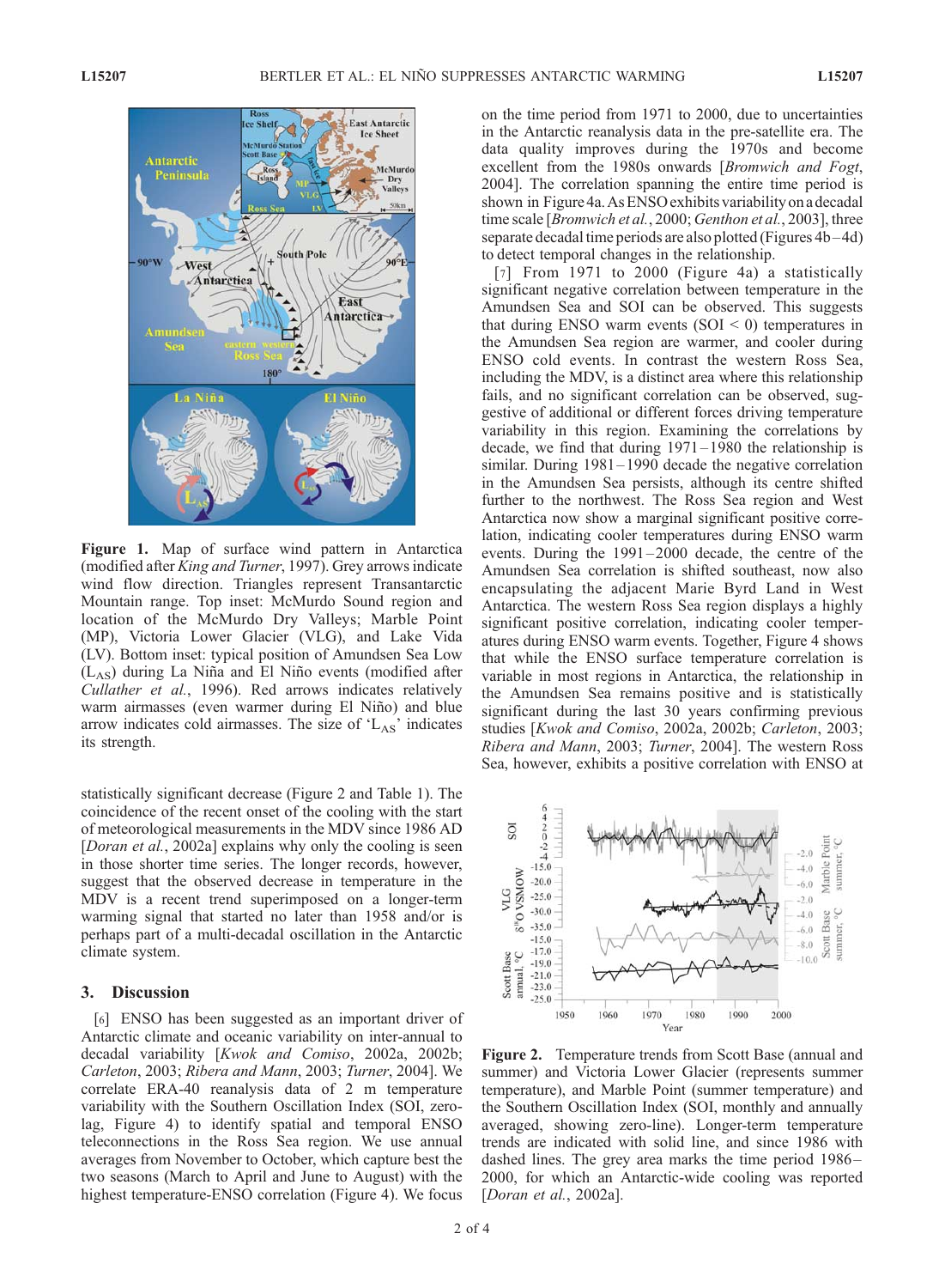

Figure 1. Map of surface wind pattern in Antarctica (modified after King and Turner, 1997). Grey arrows indicate wind flow direction. Triangles represent Transantarctic Mountain range. Top inset: McMurdo Sound region and location of the McMurdo Dry Valleys; Marble Point (MP), Victoria Lower Glacier (VLG), and Lake Vida (LV). Bottom inset: typical position of Amundsen Sea Low  $(L_{AS})$  during La Niña and El Niño events (modified after Cullather et al., 1996). Red arrows indicates relatively warm airmasses (even warmer during El Niño) and blue arrow indicates cold airmasses. The size of  $'L_{AS}$ ' indicates its strength.

statistically significant decrease (Figure 2 and Table 1). The coincidence of the recent onset of the cooling with the start of meteorological measurements in the MDV since 1986 AD [*Doran et al.*, 2002a] explains why only the cooling is seen in those shorter time series. The longer records, however, suggest that the observed decrease in temperature in the MDV is a recent trend superimposed on a longer-term warming signal that started no later than 1958 and/or is perhaps part of a multi-decadal oscillation in the Antarctic climate system.

#### 3. Discussion

[6] ENSO has been suggested as an important driver of Antarctic climate and oceanic variability on inter-annual to decadal variability [Kwok and Comiso, 2002a, 2002b; Carleton, 2003; Ribera and Mann, 2003; Turner, 2004]. We correlate ERA-40 reanalysis data of 2 m temperature variability with the Southern Oscillation Index (SOI, zerolag, Figure 4) to identify spatial and temporal ENSO teleconnections in the Ross Sea region. We use annual averages from November to October, which capture best the two seasons (March to April and June to August) with the highest temperature-ENSO correlation (Figure 4). We focus

on the time period from 1971 to 2000, due to uncertainties in the Antarctic reanalysis data in the pre-satellite era. The data quality improves during the 1970s and become excellent from the 1980s onwards [Bromwich and Fogt, 2004]. The correlation spanning the entire time period is shown in Figure 4a.AsENSO exhibits variability on a decadal time scale [*Bromwich et al.*, 2000; *Genthon et al.*, 2003], three separate decadal time periods are also plotted (Figures 4b–4d) to detect temporal changes in the relationship.

[7] From 1971 to 2000 (Figure 4a) a statistically significant negative correlation between temperature in the Amundsen Sea and SOI can be observed. This suggests that during ENSO warm events  $(SOI < 0)$  temperatures in the Amundsen Sea region are warmer, and cooler during ENSO cold events. In contrast the western Ross Sea, including the MDV, is a distinct area where this relationship fails, and no significant correlation can be observed, suggestive of additional or different forces driving temperature variability in this region. Examining the correlations by decade, we find that during 1971– 1980 the relationship is similar. During 1981–1990 decade the negative correlation in the Amundsen Sea persists, although its centre shifted further to the northwest. The Ross Sea region and West Antarctica now show a marginal significant positive correlation, indicating cooler temperatures during ENSO warm events. During the 1991–2000 decade, the centre of the Amundsen Sea correlation is shifted southeast, now also encapsulating the adjacent Marie Byrd Land in West Antarctica. The western Ross Sea region displays a highly significant positive correlation, indicating cooler temperatures during ENSO warm events. Together, Figure 4 shows that while the ENSO surface temperature correlation is variable in most regions in Antarctica, the relationship in the Amundsen Sea remains positive and is statistically significant during the last 30 years confirming previous studies [Kwok and Comiso, 2002a, 2002b; Carleton, 2003; Ribera and Mann, 2003; Turner, 2004]. The western Ross Sea, however, exhibits a positive correlation with ENSO at



Figure 2. Temperature trends from Scott Base (annual and summer) and Victoria Lower Glacier (represents summer temperature), and Marble Point (summer temperature) and the Southern Oscillation Index (SOI, monthly and annually averaged, showing zero-line). Longer-term temperature trends are indicated with solid line, and since 1986 with dashed lines. The grey area marks the time period 1986– 2000, for which an Antarctic-wide cooling was reported [Doran et al., 2002a].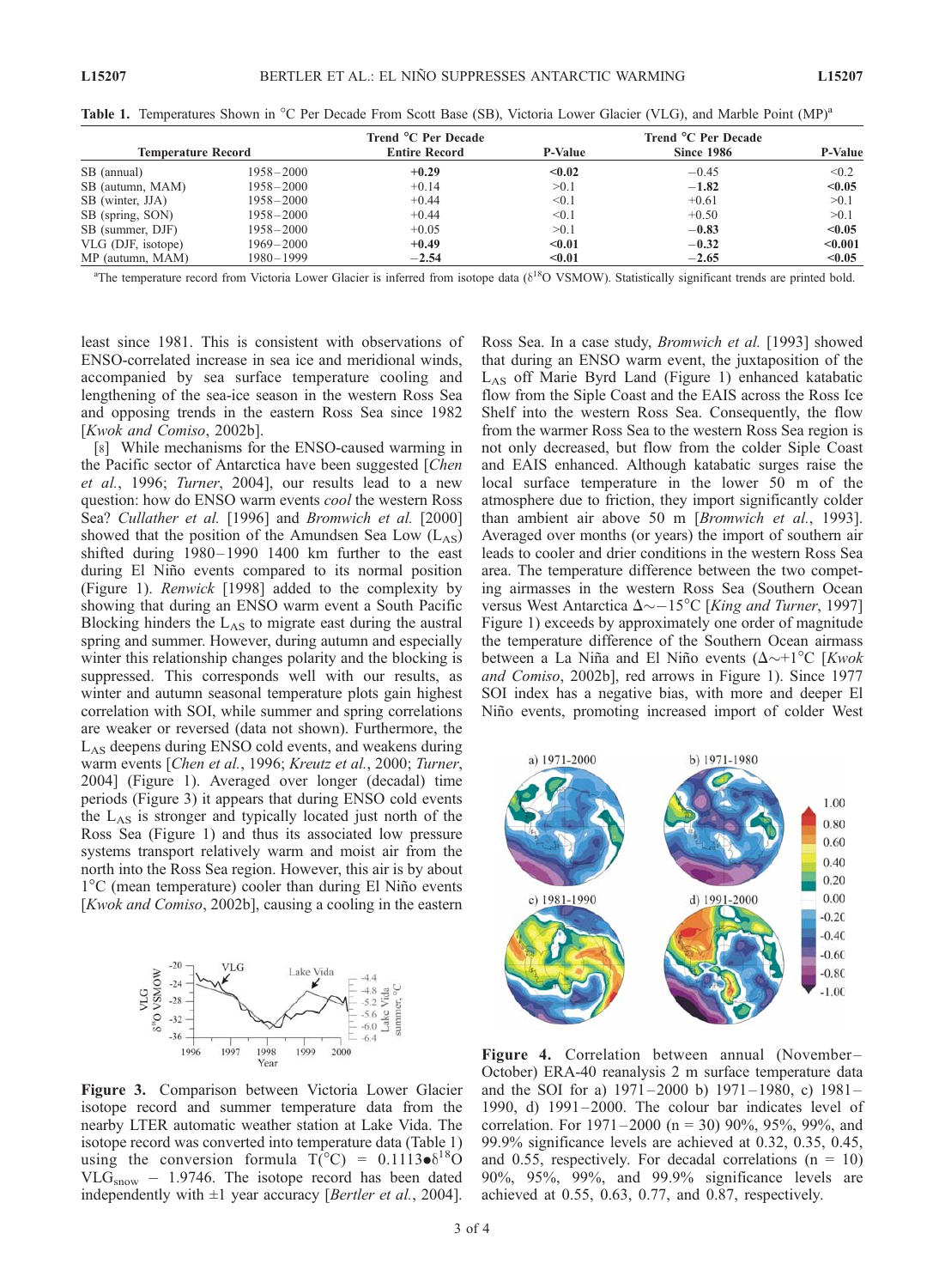|                    |               | Trend °C Per Decade  |                | Trend °C Per Decade |                |
|--------------------|---------------|----------------------|----------------|---------------------|----------------|
| Temperature Record |               | <b>Entire Record</b> | <b>P-Value</b> | <b>Since 1986</b>   | <b>P-Value</b> |
| SB (annual)        | $1958 - 2000$ | $+0.29$              | < 0.02         | $-0.45$             | < 0.2          |
| SB (autumn, MAM)   | $1958 - 2000$ | $+0.14$              | >0.1           | $-1.82$             | < 0.05         |
| SB (winter, JJA)   | $1958 - 2000$ | $+0.44$              | < 0.1          | $+0.61$             | > 0.1          |
| SB (spring, SON)   | $1958 - 2000$ | $+0.44$              | < 0.1          | $+0.50$             | > 0.1          |
| SB (summer, DJF)   | $1958 - 2000$ | $+0.05$              | > 0.1          | $-0.83$             | < 0.05         |
| VLG (DJF, isotope) | $1969 - 2000$ | $+0.49$              | $0.01$         | $-0.32$             | < 0.001        |
| MP (autumn, MAM)   | 1980-1999     | $-2.54$              | < 0.01         | $-2.65$             | < 0.05         |

Table 1. Temperatures Shown in °C Per Decade From Scott Base (SB), Victoria Lower Glacier (VLG), and Marble Point (MP)<sup>a</sup>

<sup>a</sup>The temperature record from Victoria Lower Glacier is inferred from isotope data ( $\delta^{18}$ O VSMOW). Statistically significant trends are printed bold.

least since 1981. This is consistent with observations of ENSO-correlated increase in sea ice and meridional winds, accompanied by sea surface temperature cooling and lengthening of the sea-ice season in the western Ross Sea and opposing trends in the eastern Ross Sea since 1982 [Kwok and Comiso, 2002b].

[8] While mechanisms for the ENSO-caused warming in the Pacific sector of Antarctica have been suggested [Chen et al., 1996; Turner, 2004], our results lead to a new question: how do ENSO warm events *cool* the western Ross Sea? Cullather et al. [1996] and Bromwich et al. [2000] showed that the position of the Amundsen Sea Low  $(L_{AS})$ shifted during  $1980 - 1990$  1400 km further to the east during El Niño events compared to its normal position (Figure 1). Renwick [1998] added to the complexity by showing that during an ENSO warm event a South Pacific Blocking hinders the  $L_{AS}$  to migrate east during the austral spring and summer. However, during autumn and especially winter this relationship changes polarity and the blocking is suppressed. This corresponds well with our results, as winter and autumn seasonal temperature plots gain highest correlation with SOI, while summer and spring correlations are weaker or reversed (data not shown). Furthermore, the LAS deepens during ENSO cold events, and weakens during warm events [Chen et al., 1996; Kreutz et al., 2000; Turner, 2004] (Figure 1). Averaged over longer (decadal) time periods (Figure 3) it appears that during ENSO cold events the LAS is stronger and typically located just north of the Ross Sea (Figure 1) and thus its associated low pressure systems transport relatively warm and moist air from the north into the Ross Sea region. However, this air is by about  $1^{\circ}$ C (mean temperature) cooler than during El Niño events [Kwok and Comiso, 2002b], causing a cooling in the eastern



Figure 3. Comparison between Victoria Lower Glacier isotope record and summer temperature data from the nearby LTER automatic weather station at Lake Vida. The isotope record was converted into temperature data (Table 1) using the conversion formula  $T(^{\circ}C) = 0.1113 \cdot \delta^{18}O$  $VLG<sub>snow</sub> - 1.9746$ . The isotope record has been dated independently with  $\pm 1$  year accuracy [*Bertler et al.*, 2004].

Ross Sea. In a case study, Bromwich et al. [1993] showed that during an ENSO warm event, the juxtaposition of the  $L_{AS}$  off Marie Byrd Land (Figure 1) enhanced katabatic flow from the Siple Coast and the EAIS across the Ross Ice Shelf into the western Ross Sea. Consequently, the flow from the warmer Ross Sea to the western Ross Sea region is not only decreased, but flow from the colder Siple Coast and EAIS enhanced. Although katabatic surges raise the local surface temperature in the lower 50 m of the atmosphere due to friction, they import significantly colder than ambient air above 50 m [Bromwich et al., 1993]. Averaged over months (or years) the import of southern air leads to cooler and drier conditions in the western Ross Sea area. The temperature difference between the two competing airmasses in the western Ross Sea (Southern Ocean versus West Antarctica  $\Delta \sim -15^{\circ}\text{C}$  [King and Turner, 1997] Figure 1) exceeds by approximately one order of magnitude the temperature difference of the Southern Ocean airmass between a La Niña and El Niño events ( $\Delta \sim +1^{\circ}C$  [Kwok and Comiso, 2002b], red arrows in Figure 1). Since 1977 SOI index has a negative bias, with more and deeper El Niño events, promoting increased import of colder West



Figure 4. Correlation between annual (November– October) ERA-40 reanalysis 2 m surface temperature data and the SOI for a) 1971 – 2000 b) 1971 – 1980, c) 1981– 1990, d)  $1991-2000$ . The colour bar indicates level of correlation. For  $1971 - 2000$  (n = 30) 90%, 95%, 99%, and 99.9% significance levels are achieved at 0.32, 0.35, 0.45, and 0.55, respectively. For decadal correlations  $(n = 10)$ 90%, 95%, 99%, and 99.9% significance levels are achieved at 0.55, 0.63, 0.77, and 0.87, respectively.